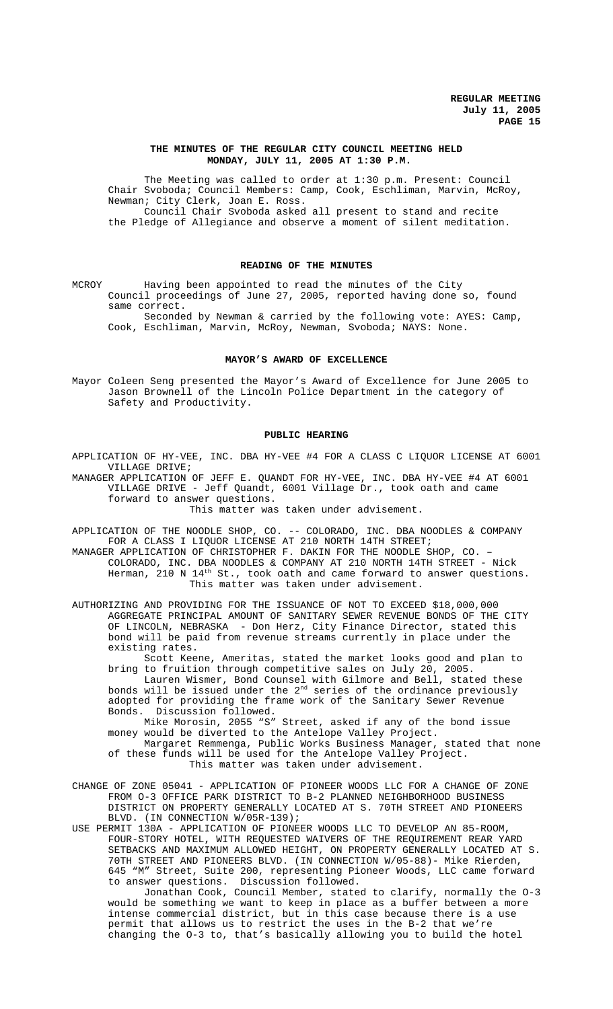## **THE MINUTES OF THE REGULAR CITY COUNCIL MEETING HELD MONDAY, JULY 11, 2005 AT 1:30 P.M.**

The Meeting was called to order at 1:30 p.m. Present: Council Chair Svoboda; Council Members: Camp, Cook, Eschliman, Marvin, McRoy, Newman; City Clerk, Joan E. Ross. Council Chair Svoboda asked all present to stand and recite

the Pledge of Allegiance and observe a moment of silent meditation.

# **READING OF THE MINUTES**

MCROY Having been appointed to read the minutes of the City Council proceedings of June 27, 2005, reported having done so, found same correct.

Seconded by Newman & carried by the following vote: AYES: Camp, Cook, Eschliman, Marvin, McRoy, Newman, Svoboda; NAYS: None.

### **MAYOR'S AWARD OF EXCELLENCE**

Mayor Coleen Seng presented the Mayor's Award of Excellence for June 2005 to Jason Brownell of the Lincoln Police Department in the category of Safety and Productivity.

#### **PUBLIC HEARING**

APPLICATION OF HY-VEE, INC. DBA HY-VEE #4 FOR A CLASS C LIQUOR LICENSE AT 6001 VILLAGE DRIVE;

MANAGER APPLICATION OF JEFF E. QUANDT FOR HY-VEE, INC. DBA HY-VEE #4 AT 6001 VILLAGE DRIVE - Jeff Quandt, 6001 Village Dr., took oath and came forward to answer questions.

This matter was taken under advisement.

APPLICATION OF THE NOODLE SHOP, CO. -- COLORADO, INC. DBA NOODLES & COMPANY FOR A CLASS I LIQUOR LICENSE AT 210 NORTH 14TH STREET;

MANAGER APPLICATION OF CHRISTOPHER F. DAKIN FOR THE NOODLE SHOP, CO. – COLORADO, INC. DBA NOODLES & COMPANY AT 210 NORTH 14TH STREET - Nick Herman, 210 N  $14^{\text{th}}$  St., took oath and came forward to answer questions. This matter was taken under advisement.

AUTHORIZING AND PROVIDING FOR THE ISSUANCE OF NOT TO EXCEED \$18,000,000 AGGREGATE PRINCIPAL AMOUNT OF SANITARY SEWER REVENUE BONDS OF THE CITY OF LINCOLN, NEBRASKA - Don Herz, City Finance Director, stated this bond will be paid from revenue streams currently in place under the existing rates.

Scott Keene, Ameritas, stated the market looks good and plan to bring to fruition through competitive sales on July 20, 2005.

Lauren Wismer, Bond Counsel with Gilmore and Bell, stated these bonds will be issued under the  $2^{\mathrm{nd}}$  series of the ordinance previously adopted for providing the frame work of the Sanitary Sewer Revenue Bonds. Discussion followed.

Mike Morosin, 2055 "S" Street, asked if any of the bond issue money would be diverted to the Antelope Valley Project.

Margaret Remmenga, Public Works Business Manager, stated that none of these funds will be used for the Antelope Valley Project. This matter was taken under advisement.

CHANGE OF ZONE 05041 - APPLICATION OF PIONEER WOODS LLC FOR A CHANGE OF ZONE FROM O-3 OFFICE PARK DISTRICT TO B-2 PLANNED NEIGHBORHOOD BUSINESS DISTRICT ON PROPERTY GENERALLY LOCATED AT S. 70TH STREET AND PIONEERS BLVD. (IN CONNECTION W/05R-139);

USE PERMIT 130A - APPLICATION OF PIONEER WOODS LLC TO DEVELOP AN 85-ROOM, FOUR-STORY HOTEL, WITH REQUESTED WAIVERS OF THE REQUIREMENT REAR YARD SETBACKS AND MAXIMUM ALLOWED HEIGHT, ON PROPERTY GENERALLY LOCATED AT S. 70TH STREET AND PIONEERS BLVD. (IN CONNECTION W/05-88)- Mike Rierden, 645 "M" Street, Suite 200, representing Pioneer Woods, LLC came forward to answer questions. Discussion followed.

Jonathan Cook, Council Member, stated to clarify, normally the O-3 would be something we want to keep in place as a buffer between a more intense commercial district, but in this case because there is a use permit that allows us to restrict the uses in the B-2 that we're changing the O-3 to, that's basically allowing you to build the hotel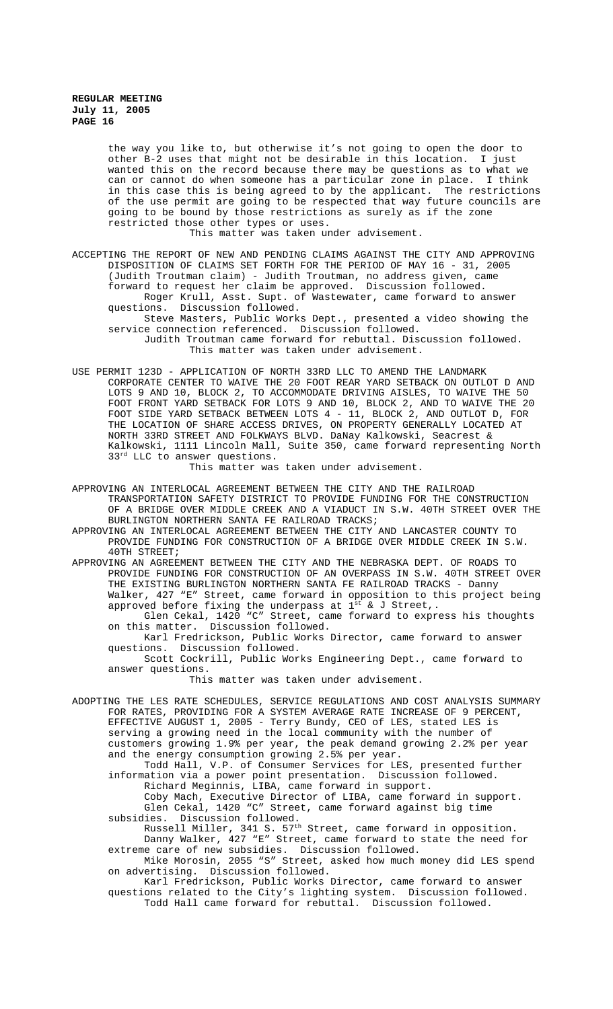the way you like to, but otherwise it's not going to open the door to other B-2 uses that might not be desirable in this location. I just wanted this on the record because there may be questions as to what we can or cannot do when someone has a particular zone in place. I think in this case this is being agreed to by the applicant. The restrictions of the use permit are going to be respected that way future councils are going to be bound by those restrictions as surely as if the zone restricted those other types or uses. This matter was taken under advisement.

ACCEPTING THE REPORT OF NEW AND PENDING CLAIMS AGAINST THE CITY AND APPROVING DISPOSITION OF CLAIMS SET FORTH FOR THE PERIOD OF MAY 16 - 31, 2005 (Judith Troutman claim) - Judith Troutman, no address given, came forward to request her claim be approved. Discussion followed. Roger Krull, Asst. Supt. of Wastewater, came forward to answer questions. Discussion followed. Steve Masters, Public Works Dept., presented a video showing the

service connection referenced. Discussion followed. Judith Troutman came forward for rebuttal. Discussion followed.

This matter was taken under advisement.

USE PERMIT 123D - APPLICATION OF NORTH 33RD LLC TO AMEND THE LANDMARK CORPORATE CENTER TO WAIVE THE 20 FOOT REAR YARD SETBACK ON OUTLOT D AND LOTS 9 AND 10, BLOCK 2, TO ACCOMMODATE DRIVING AISLES, TO WAIVE THE 50 FOOT FRONT YARD SETBACK FOR LOTS 9 AND 10, BLOCK 2, AND TO WAIVE THE 20 FOOT SIDE YARD SETBACK BETWEEN LOTS 4 - 11, BLOCK 2, AND OUTLOT D, FOR THE LOCATION OF SHARE ACCESS DRIVES, ON PROPERTY GENERALLY LOCATED AT NORTH 33RD STREET AND FOLKWAYS BLVD. DaNay Kalkowski, Seacrest & Kalkowski, 1111 Lincoln Mall, Suite 350, came forward representing North 33<sup>rd</sup> LLC to answer questions.

This matter was taken under advisement.

APPROVING AN INTERLOCAL AGREEMENT BETWEEN THE CITY AND THE RAILROAD TRANSPORTATION SAFETY DISTRICT TO PROVIDE FUNDING FOR THE CONSTRUCTION OF A BRIDGE OVER MIDDLE CREEK AND A VIADUCT IN S.W. 40TH STREET OVER THE BURLINGTON NORTHERN SANTA FE RAILROAD TRACKS;

APPROVING AN INTERLOCAL AGREEMENT BETWEEN THE CITY AND LANCASTER COUNTY TO PROVIDE FUNDING FOR CONSTRUCTION OF A BRIDGE OVER MIDDLE CREEK IN S.W. 40TH STREET;

APPROVING AN AGREEMENT BETWEEN THE CITY AND THE NEBRASKA DEPT. OF ROADS TO PROVIDE FUNDING FOR CONSTRUCTION OF AN OVERPASS IN S.W. 40TH STREET OVER THE EXISTING BURLINGTON NORTHERN SANTA FE RAILROAD TRACKS - Danny Walker, 427 "E" Street, came forward in opposition to this project being approved before fixing the underpass at  $1^{\text{st}}$  & J Street,. Glen Cekal, 1420 "C" Street, came forward to express his thoughts

on this matter. Discussion followed.

Karl Fredrickson, Public Works Director, came forward to answer questions. Discussion followed.

Scott Cockrill, Public Works Engineering Dept., came forward to answer questions.

This matter was taken under advisement.

ADOPTING THE LES RATE SCHEDULES, SERVICE REGULATIONS AND COST ANALYSIS SUMMARY FOR RATES, PROVIDING FOR A SYSTEM AVERAGE RATE INCREASE OF 9 PERCENT, EFFECTIVE AUGUST 1, 2005 - Terry Bundy, CEO of LES, stated LES is serving a growing need in the local community with the number of customers growing 1.9% per year, the peak demand growing 2.2% per year and the energy consumption growing 2.5% per year. Todd Hall, V.P. of Consumer Services for LES, presented further

information via a power point presentation. Discussion followed. Richard Meginnis, LIBA, came forward in support. Coby Mach, Executive Director of LIBA, came forward in support.

Glen Cekal, 1420 "C" Street, came forward against big time subsidies. Discussion followed.

Russell Miller, 341 S. 57th Street, came forward in opposition. Danny Walker, 427 "E" Street, came forward to state the need for extreme care of new subsidies. Discussion followed.

Mike Morosin, 2055 "S" Street, asked how much money did LES spend on advertising. Discussion followed.

Karl Fredrickson, Public Works Director, came forward to answer questions related to the City's lighting system. Discussion followed. Todd Hall came forward for rebuttal. Discussion followed.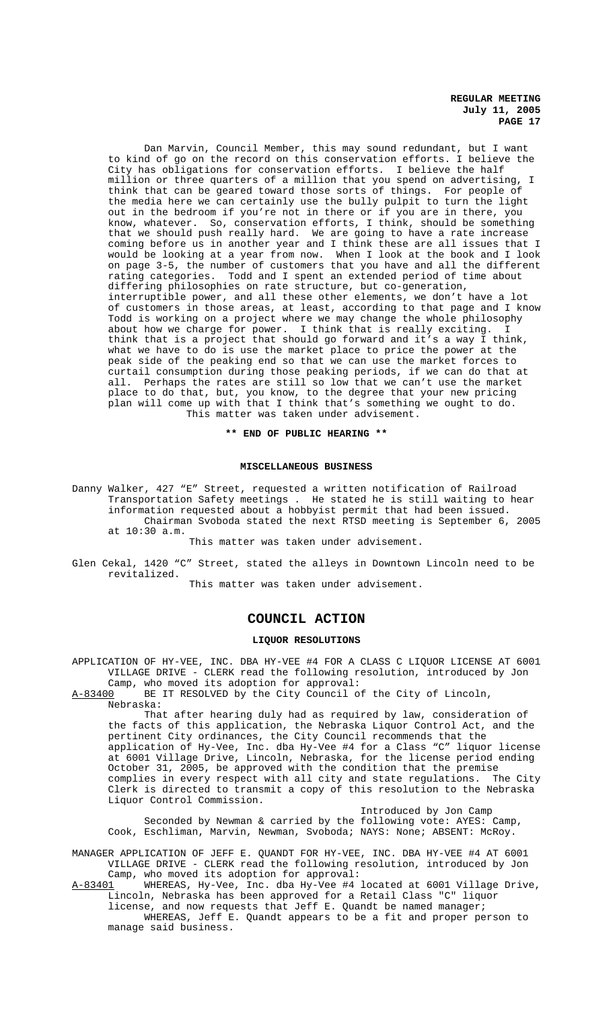Dan Marvin, Council Member, this may sound redundant, but I want to kind of go on the record on this conservation efforts. I believe the City has obligations for conservation efforts. I believe the half million or three quarters of a million that you spend on advertising, I think that can be geared toward those sorts of things. For people of the media here we can certainly use the bully pulpit to turn the light out in the bedroom if you're not in there or if you are in there, you know, whatever. So, conservation efforts, I think, should be something that we should push really hard. We are going to have a rate increase coming before us in another year and I think these are all issues that I would be looking at a year from now. When I look at the book and I look on page 3-5, the number of customers that you have and all the different rating categories. Todd and I spent an extended period of time about differing philosophies on rate structure, but co-generation, interruptible power, and all these other elements, we don't have a lot of customers in those areas, at least, according to that page and I know Todd is working on a project where we may change the whole philosophy about how we charge for power. I think that is really exciting. think that is a project that should go forward and it's a way I think, what we have to do is use the market place to price the power at the peak side of the peaking end so that we can use the market forces to curtail consumption during those peaking periods, if we can do that at all. Perhaps the rates are still so low that we can't use the market place to do that, but, you know, to the degree that your new pricing plan will come up with that I think that's something we ought to do. This matter was taken under advisement.

**\*\* END OF PUBLIC HEARING \*\***

### **MISCELLANEOUS BUSINESS**

Danny Walker, 427 "E" Street, requested a written notification of Railroad Transportation Safety meetings . He stated he is still waiting to hear information requested about a hobbyist permit that had been issued. Chairman Svoboda stated the next RTSD meeting is September 6, 2005 at 10:30 a.m.

This matter was taken under advisement.

Glen Cekal, 1420 "C" Street, stated the alleys in Downtown Lincoln need to be revitalized.

This matter was taken under advisement.

# **COUNCIL ACTION**

## **LIQUOR RESOLUTIONS**

APPLICATION OF HY-VEE, INC. DBA HY-VEE #4 FOR A CLASS C LIQUOR LICENSE AT 6001 VILLAGE DRIVE - CLERK read the following resolution, introduced by Jon

Camp, who moved its adoption for approval:<br>A-83400 BE IT RESOLVED by the City Council o BE IT RESOLVED by the City Council of the City of Lincoln, Nebraska:

That after hearing duly had as required by law, consideration of the facts of this application, the Nebraska Liquor Control Act, and the pertinent City ordinances, the City Council recommends that the application of Hy-Vee, Inc. dba Hy-Vee #4 for a Class "C" liquor license at 6001 Village Drive, Lincoln, Nebraska, for the license period ending October 31, 2005, be approved with the condition that the premise complies in every respect with all city and state regulations. The City Clerk is directed to transmit a copy of this resolution to the Nebraska Liquor Control Commission.

Introduced by Jon Camp Seconded by Newman & carried by the following vote: AYES: Camp, Cook, Eschliman, Marvin, Newman, Svoboda; NAYS: None; ABSENT: McRoy.

MANAGER APPLICATION OF JEFF E. QUANDT FOR HY-VEE, INC. DBA HY-VEE #4 AT 6001 VILLAGE DRIVE - CLERK read the following resolution, introduced by Jon

Camp, who moved its adoption for approval:<br>A-83401 WHEREAS, Hy-Vee, Inc. dba Hy-Vee #4 WHEREAS, Hy-Vee, Inc. dba Hy-Vee #4 located at 6001 Village Drive, Lincoln, Nebraska has been approved for a Retail Class "C" liquor license, and now requests that Jeff E. Quandt be named manager; WHEREAS, Jeff E. Quandt appears to be a fit and proper person to

manage said business.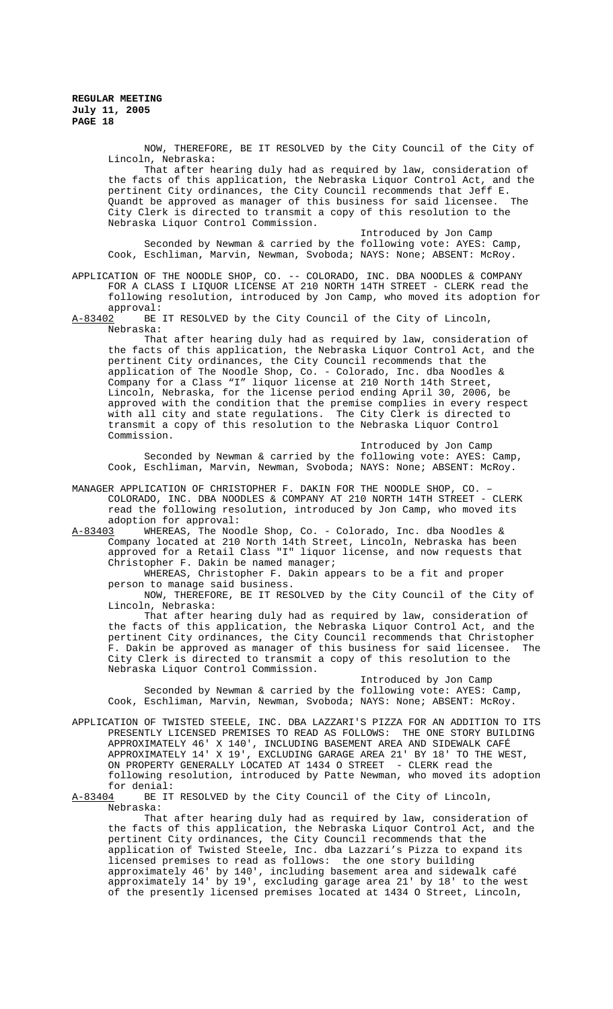NOW, THEREFORE, BE IT RESOLVED by the City Council of the City of Lincoln, Nebraska:

That after hearing duly had as required by law, consideration of the facts of this application, the Nebraska Liquor Control Act, and the pertinent City ordinances, the City Council recommends that Jeff E. Quandt be approved as manager of this business for said licensee. City Clerk is directed to transmit a copy of this resolution to the Nebraska Liquor Control Commission.

Introduced by Jon Camp Seconded by Newman & carried by the following vote: AYES: Camp, Cook, Eschliman, Marvin, Newman, Svoboda; NAYS: None; ABSENT: McRoy.

APPLICATION OF THE NOODLE SHOP, CO. -- COLORADO, INC. DBA NOODLES & COMPANY FOR A CLASS I LIQUOR LICENSE AT 210 NORTH 14TH STREET - CLERK read the following resolution, introduced by Jon Camp, who moved its adoption for approval:<br><u>A-83402</u> BE

BE IT RESOLVED by the City Council of the City of Lincoln, Nebraska:

That after hearing duly had as required by law, consideration of the facts of this application, the Nebraska Liquor Control Act, and the pertinent City ordinances, the City Council recommends that the application of The Noodle Shop, Co. - Colorado, Inc. dba Noodles & Company for a Class "I" liquor license at 210 North 14th Street, Lincoln, Nebraska, for the license period ending April 30, 2006, be approved with the condition that the premise complies in every respect with all city and state regulations. The City Clerk is directed to transmit a copy of this resolution to the Nebraska Liquor Control Commission.

Introduced by Jon Camp

Seconded by Newman & carried by the following vote: AYES: Camp, Cook, Eschliman, Marvin, Newman, Svoboda; NAYS: None; ABSENT: McRoy.

MANAGER APPLICATION OF CHRISTOPHER F. DAKIN FOR THE NOODLE SHOP, CO. – COLORADO, INC. DBA NOODLES & COMPANY AT 210 NORTH 14TH STREET - CLERK read the following resolution, introduced by Jon Camp, who moved its

adoption for approval:<br>A-83403 WHEREAS, The Noo WHEREAS, The Noodle Shop, Co. - Colorado, Inc. dba Noodles & Company located at 210 North 14th Street, Lincoln, Nebraska has been approved for a Retail Class "I" liquor license, and now requests that Christopher F. Dakin be named manager;

WHEREAS, Christopher F. Dakin appears to be a fit and proper person to manage said business.

NOW, THEREFORE, BE IT RESOLVED by the City Council of the City of Lincoln, Nebraska:

That after hearing duly had as required by law, consideration of the facts of this application, the Nebraska Liquor Control Act, and the pertinent City ordinances, the City Council recommends that Christopher F. Dakin be approved as manager of this business for said licensee. The City Clerk is directed to transmit a copy of this resolution to the Nebraska Liquor Control Commission.

Introduced by Jon Camp Seconded by Newman & carried by the following vote: AYES: Camp, Cook, Eschliman, Marvin, Newman, Svoboda; NAYS: None; ABSENT: McRoy.

APPLICATION OF TWISTED STEELE, INC. DBA LAZZARI'S PIZZA FOR AN ADDITION TO ITS PRESENTLY LICENSED PREMISES TO READ AS FOLLOWS: THE ONE STORY BUILDING APPROXIMATELY 46' X 140', INCLUDING BASEMENT AREA AND SIDEWALK CAFÉ APPROXIMATELY 14' X 19', EXCLUDING GARAGE AREA 21' BY 18' TO THE WEST, ON PROPERTY GENERALLY LOCATED AT 1434 O STREET - CLERK read the following resolution, introduced by Patte Newman, who moved its adoption

for denial:<br><u>A-83404</u> BE IT BE IT RESOLVED by the City Council of the City of Lincoln, Nebraska:

That after hearing duly had as required by law, consideration of the facts of this application, the Nebraska Liquor Control Act, and the pertinent City ordinances, the City Council recommends that the application of Twisted Steele, Inc. dba Lazzari's Pizza to expand its licensed premises to read as follows: the one story building approximately 46' by 140', including basement area and sidewalk café approximately 14' by 19', excluding garage area 21' by 18' to the west of the presently licensed premises located at 1434 O Street, Lincoln,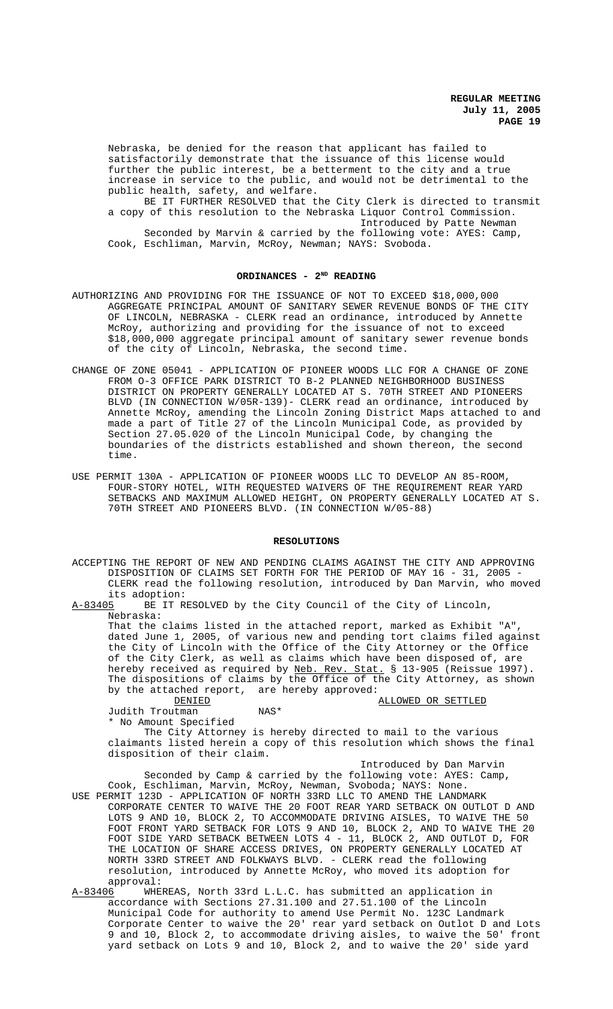Nebraska, be denied for the reason that applicant has failed to satisfactorily demonstrate that the issuance of this license would further the public interest, be a betterment to the city and a true increase in service to the public, and would not be detrimental to the public health, safety, and welfare.

BE IT FURTHER RESOLVED that the City Clerk is directed to transmit a copy of this resolution to the Nebraska Liquor Control Commission. Introduced by Patte Newman Seconded by Marvin & carried by the following vote: AYES: Camp,

Cook, Eschliman, Marvin, McRoy, Newman; NAYS: Svoboda.

# ORDINANCES - 2<sup>ND</sup> READING

- AUTHORIZING AND PROVIDING FOR THE ISSUANCE OF NOT TO EXCEED \$18,000,000 AGGREGATE PRINCIPAL AMOUNT OF SANITARY SEWER REVENUE BONDS OF THE CITY OF LINCOLN, NEBRASKA - CLERK read an ordinance, introduced by Annette McRoy, authorizing and providing for the issuance of not to exceed \$18,000,000 aggregate principal amount of sanitary sewer revenue bonds of the city of Lincoln, Nebraska, the second time.
- CHANGE OF ZONE 05041 APPLICATION OF PIONEER WOODS LLC FOR A CHANGE OF ZONE FROM O-3 OFFICE PARK DISTRICT TO B-2 PLANNED NEIGHBORHOOD BUSINESS DISTRICT ON PROPERTY GENERALLY LOCATED AT S. 70TH STREET AND PIONEERS BLVD (IN CONNECTION W/05R-139)- CLERK read an ordinance, introduced by Annette McRoy, amending the Lincoln Zoning District Maps attached to and made a part of Title 27 of the Lincoln Municipal Code, as provided by Section 27.05.020 of the Lincoln Municipal Code, by changing the boundaries of the districts established and shown thereon, the second time.
- USE PERMIT 130A APPLICATION OF PIONEER WOODS LLC TO DEVELOP AN 85-ROOM, FOUR-STORY HOTEL, WITH REQUESTED WAIVERS OF THE REQUIREMENT REAR YARD SETBACKS AND MAXIMUM ALLOWED HEIGHT, ON PROPERTY GENERALLY LOCATED AT S. 70TH STREET AND PIONEERS BLVD. (IN CONNECTION W/05-88)

#### **RESOLUTIONS**

ACCEPTING THE REPORT OF NEW AND PENDING CLAIMS AGAINST THE CITY AND APPROVING DISPOSITION OF CLAIMS SET FORTH FOR THE PERIOD OF MAY 16 - 31, 2005 - CLERK read the following resolution, introduced by Dan Marvin, who moved its adoption:<br>A-83405 BE IT RI

BE IT RESOLVED by the City Council of the City of Lincoln, Nebraska:

That the claims listed in the attached report, marked as Exhibit "A", dated June 1, 2005, of various new and pending tort claims filed against the City of Lincoln with the Office of the City Attorney or the Office of the City Clerk, as well as claims which have been disposed of, are hereby received as required by Neb. Rev. Stat. § 13-905 (Reissue 1997). The dispositions of claims by the Office of the City Attorney, as shown by the attached report, are hereby approved:

| DENIED          |      | ALLOWED OR SETTLED |  |
|-----------------|------|--------------------|--|
| Judith Troutman | NAS* |                    |  |

\* No Amount Specified

The City Attorney is hereby directed to mail to the various claimants listed herein a copy of this resolution which shows the final disposition of their claim.

Introduced by Dan Marvin

Seconded by Camp & carried by the following vote: AYES: Camp, Cook, Eschliman, Marvin, McRoy, Newman, Svoboda; NAYS: None. USE PERMIT 123D - APPLICATION OF NORTH 33RD LLC TO AMEND THE LANDMARK

CORPORATE CENTER TO WAIVE THE 20 FOOT REAR YARD SETBACK ON OUTLOT D AND LOTS 9 AND 10, BLOCK 2, TO ACCOMMODATE DRIVING AISLES, TO WAIVE THE 50 FOOT FRONT YARD SETBACK FOR LOTS 9 AND 10, BLOCK 2, AND TO WAIVE THE 20 FOOT SIDE YARD SETBACK BETWEEN LOTS 4 - 11, BLOCK 2, AND OUTLOT D, FOR THE LOCATION OF SHARE ACCESS DRIVES, ON PROPERTY GENERALLY LOCATED AT NORTH 33RD STREET AND FOLKWAYS BLVD. - CLERK read the following resolution, introduced by Annette McRoy, who moved its adoption for approval:

A-83406 WHEREAS, North 33rd L.L.C. has submitted an application in accordance with Sections 27.31.100 and 27.51.100 of the Lincoln Municipal Code for authority to amend Use Permit No. 123C Landmark Corporate Center to waive the 20' rear yard setback on Outlot D and Lots 9 and 10, Block 2, to accommodate driving aisles, to waive the 50' front yard setback on Lots 9 and 10, Block 2, and to waive the 20' side yard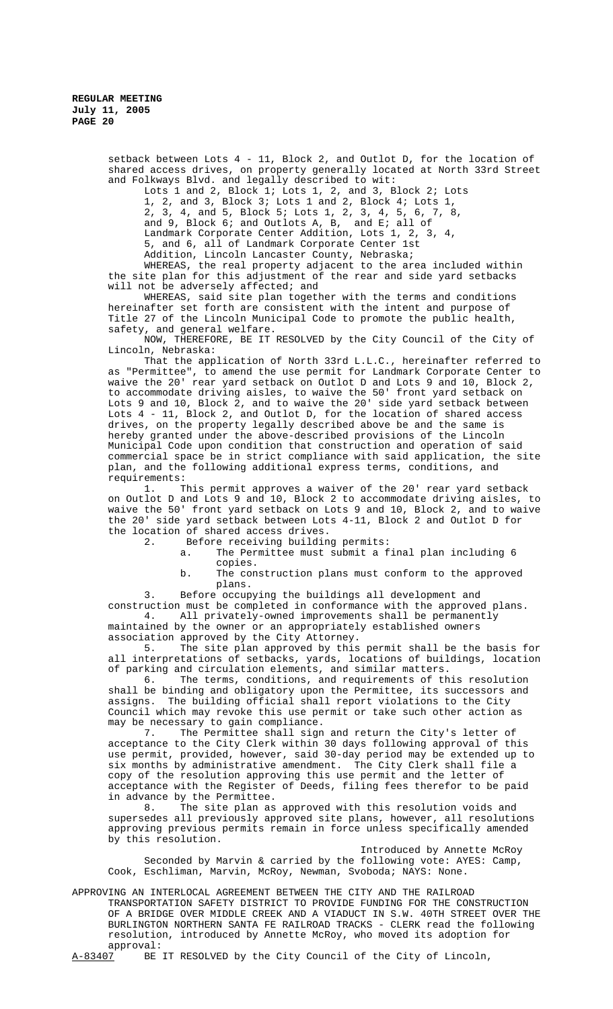setback between Lots 4 - 11, Block 2, and Outlot D, for the location of shared access drives, on property generally located at North 33rd Street and Folkways Blvd. and legally described to wit:

Lots 1 and 2, Block 1; Lots 1, 2, and 3, Block 2; Lots 1, 2, and 3, Block 3; Lots 1 and 2, Block 4; Lots 1, 2, 3, 4, 5, 6, 7, 8 2, 3, 4, and 5, Block 5; Lots 1, 2, 3, 4, 5, 6, 7, 8, and 9, Block 6; and Outlots A, B, and E; all of Landmark Corporate Center Addition, Lots 1, 2, 3, 4, 5, and 6, all of Landmark Corporate Center 1st Addition, Lincoln Lancaster County, Nebraska;

WHEREAS, the real property adjacent to the area included within the site plan for this adjustment of the rear and side yard setbacks will not be adversely affected; and

WHEREAS, said site plan together with the terms and conditions hereinafter set forth are consistent with the intent and purpose of Title 27 of the Lincoln Municipal Code to promote the public health, safety, and general welfare.

NOW, THEREFORE, BE IT RESOLVED by the City Council of the City of Lincoln, Nebraska:

That the application of North 33rd L.L.C., hereinafter referred to as "Permittee", to amend the use permit for Landmark Corporate Center to waive the 20' rear yard setback on Outlot D and Lots 9 and 10, Block 2, to accommodate driving aisles, to waive the 50' front yard setback on Lots 9 and 10, Block 2, and to waive the 20' side yard setback between Lots 4 - 11, Block 2, and Outlot D, for the location of shared access drives, on the property legally described above be and the same is hereby granted under the above-described provisions of the Lincoln Municipal Code upon condition that construction and operation of said commercial space be in strict compliance with said application, the site plan, and the following additional express terms, conditions, and requirements:

1. This permit approves a waiver of the 20' rear yard setback on Outlot D and Lots 9 and 10, Block 2 to accommodate driving aisles, to waive the 50' front yard setback on Lots 9 and 10, Block 2, and to waive the 20' side yard setback between Lots 4-11, Block 2 and Outlot D for the location of shared access drives.<br>2. Before receiving building

Before receiving building permits:

- a. The Permittee must submit a final plan including 6 copies.
- b. The construction plans must conform to the approved plans.

3. Before occupying the buildings all development and construction must be completed in conformance with the approved plans.<br>4. All privately-owned improvements shall be permanently All privately-owned improvements shall be permanently maintained by the owner or an appropriately established owners association approved by the City Attorney.

5. The site plan approved by this permit shall be the basis for all interpretations of setbacks, yards, locations of buildings, location of parking and circulation elements, and similar matters.

6. The terms, conditions, and requirements of this resolution shall be binding and obligatory upon the Permittee, its successors and assigns. The building official shall report violations to the City Council which may revoke this use permit or take such other action as may be necessary to gain compliance.

7. The Permittee shall sign and return the City's letter of acceptance to the City Clerk within 30 days following approval of this use permit, provided, however, said 30-day period may be extended up to six months by administrative amendment. The City Clerk shall file a copy of the resolution approving this use permit and the letter of acceptance with the Register of Deeds, filing fees therefor to be paid

in advance by the Permittee.<br>8. The site plan as The site plan as approved with this resolution voids and supersedes all previously approved site plans, however, all resolutions approving previous permits remain in force unless specifically amended by this resolution.

Introduced by Annette McRoy Seconded by Marvin & carried by the following vote: AYES: Camp, Cook, Eschliman, Marvin, McRoy, Newman, Svoboda; NAYS: None.

APPROVING AN INTERLOCAL AGREEMENT BETWEEN THE CITY AND THE RAILROAD TRANSPORTATION SAFETY DISTRICT TO PROVIDE FUNDING FOR THE CONSTRUCTION OF A BRIDGE OVER MIDDLE CREEK AND A VIADUCT IN S.W. 40TH STREET OVER THE BURLINGTON NORTHERN SANTA FE RAILROAD TRACKS - CLERK read the following resolution, introduced by Annette McRoy, who moved its adoption for

approval:<br> $A-83407$  BE BE IT RESOLVED by the City Council of the City of Lincoln,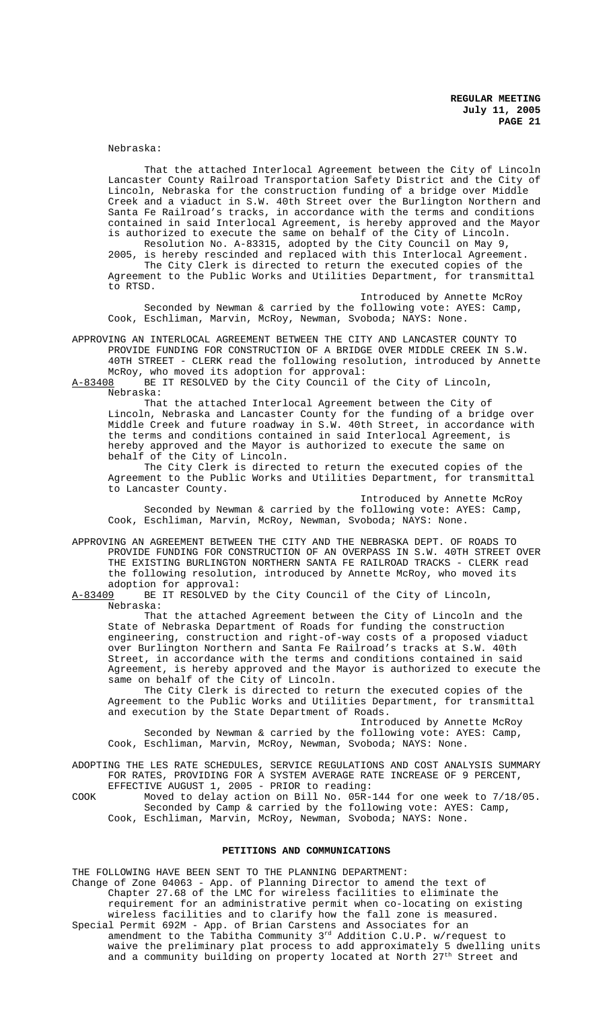Nebraska:

That the attached Interlocal Agreement between the City of Lincoln Lancaster County Railroad Transportation Safety District and the City of Lincoln, Nebraska for the construction funding of a bridge over Middle Creek and a viaduct in S.W. 40th Street over the Burlington Northern and Santa Fe Railroad's tracks, in accordance with the terms and conditions contained in said Interlocal Agreement, is hereby approved and the Mayor is authorized to execute the same on behalf of the City of Lincoln.

Resolution No. A-83315, adopted by the City Council on May 9, 2005, is hereby rescinded and replaced with this Interlocal Agreement. The City Clerk is directed to return the executed copies of the Agreement to the Public Works and Utilities Department, for transmittal to RTSD.

Introduced by Annette McRoy Seconded by Newman & carried by the following vote: AYES: Camp, Cook, Eschliman, Marvin, McRoy, Newman, Svoboda; NAYS: None.

APPROVING AN INTERLOCAL AGREEMENT BETWEEN THE CITY AND LANCASTER COUNTY TO PROVIDE FUNDING FOR CONSTRUCTION OF A BRIDGE OVER MIDDLE CREEK IN S.W. 40TH STREET - CLERK read the following resolution, introduced by Annette McRoy, who moved its adoption for approval:

A-83408 BE IT RESOLVED by the City Council of the City of Lincoln, Nebraska:

That the attached Interlocal Agreement between the City of Lincoln, Nebraska and Lancaster County for the funding of a bridge over Middle Creek and future roadway in S.W. 40th Street, in accordance with the terms and conditions contained in said Interlocal Agreement, is hereby approved and the Mayor is authorized to execute the same on behalf of the City of Lincoln.

The City Clerk is directed to return the executed copies of the Agreement to the Public Works and Utilities Department, for transmittal to Lancaster County.

Introduced by Annette McRoy Seconded by Newman & carried by the following vote: AYES: Camp, Cook, Eschliman, Marvin, McRoy, Newman, Svoboda; NAYS: None.

APPROVING AN AGREEMENT BETWEEN THE CITY AND THE NEBRASKA DEPT. OF ROADS TO PROVIDE FUNDING FOR CONSTRUCTION OF AN OVERPASS IN S.W. 40TH STREET OVER THE EXISTING BURLINGTON NORTHERN SANTA FE RAILROAD TRACKS - CLERK read the following resolution, introduced by Annette McRoy, who moved its adoption for approval:<br>A-83409 BE IT RESOLVED b

BE IT RESOLVED by the City Council of the City of Lincoln, Nebraska:

That the attached Agreement between the City of Lincoln and the State of Nebraska Department of Roads for funding the construction engineering, construction and right-of-way costs of a proposed viaduct over Burlington Northern and Santa Fe Railroad's tracks at S.W. 40th Street, in accordance with the terms and conditions contained in said Agreement, is hereby approved and the Mayor is authorized to execute the same on behalf of the City of Lincoln.

The City Clerk is directed to return the executed copies of the Agreement to the Public Works and Utilities Department, for transmittal and execution by the State Department of Roads.

Introduced by Annette McRoy Seconded by Newman & carried by the following vote: AYES: Camp, Cook, Eschliman, Marvin, McRoy, Newman, Svoboda; NAYS: None.

ADOPTING THE LES RATE SCHEDULES, SERVICE REGULATIONS AND COST ANALYSIS SUMMARY FOR RATES, PROVIDING FOR A SYSTEM AVERAGE RATE INCREASE OF 9 PERCENT, EFFECTIVE AUGUST 1, 2005 - PRIOR to reading:

COOK Moved to delay action on Bill No. 05R-144 for one week to 7/18/05. Seconded by Camp & carried by the following vote: AYES: Camp, Cook, Eschliman, Marvin, McRoy, Newman, Svoboda; NAYS: None.

## **PETITIONS AND COMMUNICATIONS**

THE FOLLOWING HAVE BEEN SENT TO THE PLANNING DEPARTMENT: Change of Zone 04063 - App. of Planning Director to amend the text of Chapter 27.68 of the LMC for wireless facilities to eliminate the requirement for an administrative permit when co-locating on existing wireless facilities and to clarify how the fall zone is measured. Special Permit 692M - App. of Brian Carstens and Associates for an amendment to the Tabitha Community  $3^{rd}$  Addition C.U.P. w/request to waive the preliminary plat process to add approximately 5 dwelling units and a community building on property located at North 27<sup>th</sup> Street and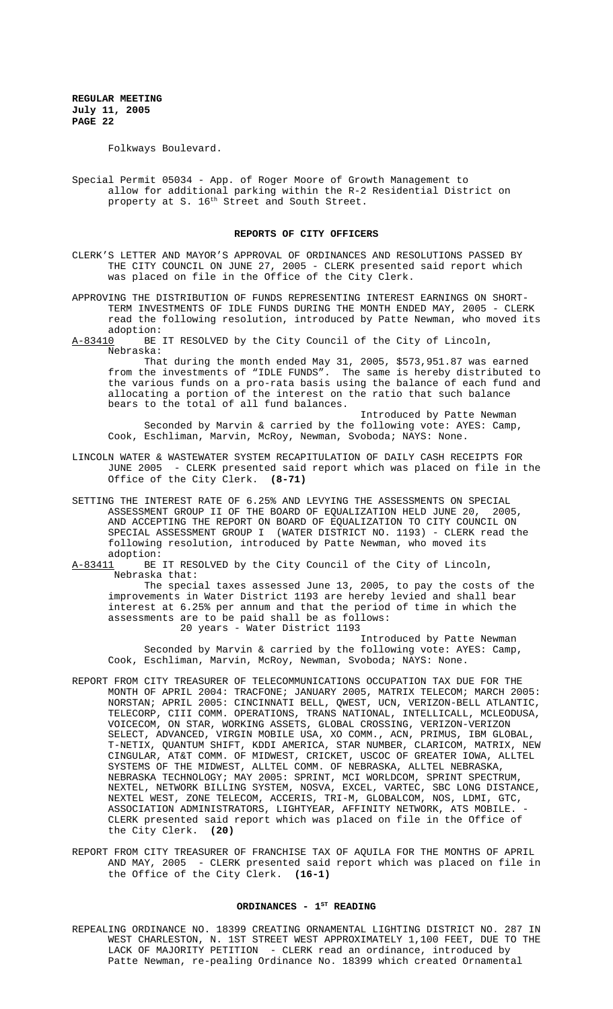Folkways Boulevard.

Special Permit 05034 - App. of Roger Moore of Growth Management to allow for additional parking within the R-2 Residential District on property at S. 16<sup>th</sup> Street and South Street.

# **REPORTS OF CITY OFFICERS**

- CLERK'S LETTER AND MAYOR'S APPROVAL OF ORDINANCES AND RESOLUTIONS PASSED BY THE CITY COUNCIL ON JUNE 27, 2005 - CLERK presented said report which was placed on file in the Office of the City Clerk.
- APPROVING THE DISTRIBUTION OF FUNDS REPRESENTING INTEREST EARNINGS ON SHORT-TERM INVESTMENTS OF IDLE FUNDS DURING THE MONTH ENDED MAY, 2005 - CLERK read the following resolution, introduced by Patte Newman, who moved its adoption:<br>A-83410 BE
- BE IT RESOLVED by the City Council of the City of Lincoln, Nebraska:

That during the month ended May 31, 2005, \$573,951.87 was earned from the investments of "IDLE FUNDS". The same is hereby distributed to the various funds on a pro-rata basis using the balance of each fund and allocating a portion of the interest on the ratio that such balance bears to the total of all fund balances.

Introduced by Patte Newman Seconded by Marvin & carried by the following vote: AYES: Camp, Cook, Eschliman, Marvin, McRoy, Newman, Svoboda; NAYS: None.

- LINCOLN WATER & WASTEWATER SYSTEM RECAPITULATION OF DAILY CASH RECEIPTS FOR JUNE 2005 - CLERK presented said report which was placed on file in the Office of the City Clerk. **(8-71)**
- SETTING THE INTEREST RATE OF 6.25% AND LEVYING THE ASSESSMENTS ON SPECIAL ASSESSMENT GROUP II OF THE BOARD OF EQUALIZATION HELD JUNE 20, 2005, AND ACCEPTING THE REPORT ON BOARD OF EQUALIZATION TO CITY COUNCIL ON SPECIAL ASSESSMENT GROUP I (WATER DISTRICT NO. 1193) - CLERK read the following resolution, introduced by Patte Newman, who moved its adoption:<br>A-83411 BE
- BE IT RESOLVED by the City Council of the City of Lincoln, Nebraska that:

The special taxes assessed June 13, 2005, to pay the costs of the improvements in Water District 1193 are hereby levied and shall bear interest at 6.25% per annum and that the period of time in which the assessments are to be paid shall be as follows: 20 years - Water District 1193

Introduced by Patte Newman Seconded by Marvin & carried by the following vote: AYES: Camp, Cook, Eschliman, Marvin, McRoy, Newman, Svoboda; NAYS: None.

- REPORT FROM CITY TREASURER OF TELECOMMUNICATIONS OCCUPATION TAX DUE FOR THE MONTH OF APRIL 2004: TRACFONE; JANUARY 2005, MATRIX TELECOM; MARCH 2005: NORSTAN; APRIL 2005: CINCINNATI BELL, QWEST, UCN, VERIZON-BELL ATLANTIC, TELECORP, CIII COMM. OPERATIONS, TRANS NATIONAL, INTELLICALL, MCLEODUSA, VOICECOM, ON STAR, WORKING ASSETS, GLOBAL CROSSING, VERIZON-VERIZON SELECT, ADVANCED, VIRGIN MOBILE USA, XO COMM., ACN, PRIMUS, IBM GLOBAL, T-NETIX, QUANTUM SHIFT, KDDI AMERICA, STAR NUMBER, CLARICOM, MATRIX, NEW CINGULAR, AT&T COMM. OF MIDWEST, CRICKET, USCOC OF GREATER IOWA, ALLTEL SYSTEMS OF THE MIDWEST, ALLTEL COMM. OF NEBRASKA, ALLTEL NEBRASKA, NEBRASKA TECHNOLOGY; MAY 2005: SPRINT, MCI WORLDCOM, SPRINT SPECTRUM, NEXTEL, NETWORK BILLING SYSTEM, NOSVA, EXCEL, VARTEC, SBC LONG DISTANCE, NEXTEL WEST, ZONE TELECOM, ACCERIS, TRI-M, GLOBALCOM, NOS, LDMI, GTC, ASSOCIATION ADMINISTRATORS, LIGHTYEAR, AFFINITY NETWORK, ATS MOBILE. CLERK presented said report which was placed on file in the Office of the City Clerk. **(20)**
- REPORT FROM CITY TREASURER OF FRANCHISE TAX OF AQUILA FOR THE MONTHS OF APRIL AND MAY, 2005 - CLERK presented said report which was placed on file in the Office of the City Clerk. **(16-1)**

# ORDINANCES - 1<sup>ST</sup> READING

REPEALING ORDINANCE NO. 18399 CREATING ORNAMENTAL LIGHTING DISTRICT NO. 287 IN WEST CHARLESTON, N. 1ST STREET WEST APPROXIMATELY 1,100 FEET, DUE TO THE LACK OF MAJORITY PETITION - CLERK read an ordinance, introduced by Patte Newman, re-pealing Ordinance No. 18399 which created Ornamental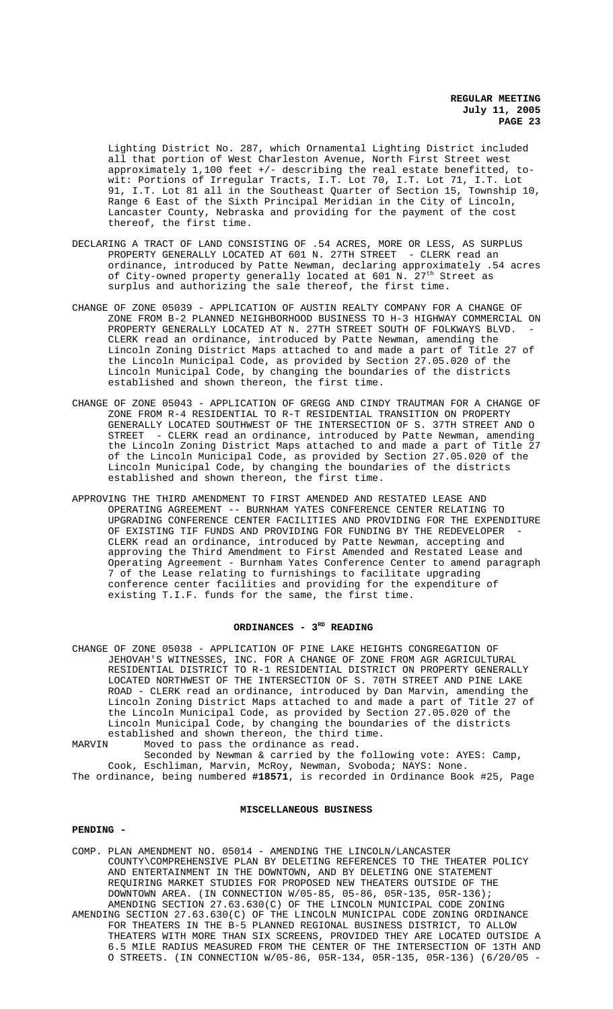Lighting District No. 287, which Ornamental Lighting District included all that portion of West Charleston Avenue, North First Street west approximately 1,100 feet +/- describing the real estate benefitted, towit: Portions of Irregular Tracts, I.T. Lot 70, I.T. Lot 71, I.T. Lot 91, I.T. Lot 81 all in the Southeast Quarter of Section 15, Township 10, Range 6 East of the Sixth Principal Meridian in the City of Lincoln, Lancaster County, Nebraska and providing for the payment of the cost thereof, the first time.

- DECLARING A TRACT OF LAND CONSISTING OF .54 ACRES, MORE OR LESS, AS SURPLUS PROPERTY GENERALLY LOCATED AT 601 N. 27TH STREET - CLERK read an ordinance, introduced by Patte Newman, declaring approximately .54 acres of City-owned property generally located at 601 N.  $27^{\rm th}$  Street as surplus and authorizing the sale thereof, the first time.
- CHANGE OF ZONE 05039 APPLICATION OF AUSTIN REALTY COMPANY FOR A CHANGE OF ZONE FROM B-2 PLANNED NEIGHBORHOOD BUSINESS TO H-3 HIGHWAY COMMERCIAL ON PROPERTY GENERALLY LOCATED AT N. 27TH STREET SOUTH OF FOLKWAYS BLVD. CLERK read an ordinance, introduced by Patte Newman, amending the Lincoln Zoning District Maps attached to and made a part of Title 27 of the Lincoln Municipal Code, as provided by Section 27.05.020 of the Lincoln Municipal Code, by changing the boundaries of the districts established and shown thereon, the first time.
- CHANGE OF ZONE 05043 APPLICATION OF GREGG AND CINDY TRAUTMAN FOR A CHANGE OF ZONE FROM R-4 RESIDENTIAL TO R-T RESIDENTIAL TRANSITION ON PROPERTY GENERALLY LOCATED SOUTHWEST OF THE INTERSECTION OF S. 37TH STREET AND O STREET - CLERK read an ordinance, introduced by Patte Newman, amending the Lincoln Zoning District Maps attached to and made a part of Title 27 of the Lincoln Municipal Code, as provided by Section 27.05.020 of the Lincoln Municipal Code, by changing the boundaries of the districts established and shown thereon, the first time.
- APPROVING THE THIRD AMENDMENT TO FIRST AMENDED AND RESTATED LEASE AND OPERATING AGREEMENT -- BURNHAM YATES CONFERENCE CENTER RELATING TO UPGRADING CONFERENCE CENTER FACILITIES AND PROVIDING FOR THE EXPENDITURE OF EXISTING TIF FUNDS AND PROVIDING FOR FUNDING BY THE REDEVELOPER CLERK read an ordinance, introduced by Patte Newman, accepting and approving the Third Amendment to First Amended and Restated Lease and Operating Agreement - Burnham Yates Conference Center to amend paragraph 7 of the Lease relating to furnishings to facilitate upgrading conference center facilities and providing for the expenditure of existing T.I.F. funds for the same, the first time.

### ORDINANCES - 3<sup>RD</sup> READING

CHANGE OF ZONE 05038 - APPLICATION OF PINE LAKE HEIGHTS CONGREGATION OF JEHOVAH'S WITNESSES, INC. FOR A CHANGE OF ZONE FROM AGR AGRICULTURAL RESIDENTIAL DISTRICT TO R-1 RESIDENTIAL DISTRICT ON PROPERTY GENERALLY LOCATED NORTHWEST OF THE INTERSECTION OF S. 70TH STREET AND PINE LAKE ROAD - CLERK read an ordinance, introduced by Dan Marvin, amending the Lincoln Zoning District Maps attached to and made a part of Title 27 of the Lincoln Municipal Code, as provided by Section 27.05.020 of the Lincoln Municipal Code, by changing the boundaries of the districts established and shown thereon, the third time.<br>MARVIN Moved to pass the ordinance as read. Moved to pass the ordinance as read.

Seconded by Newman & carried by the following vote: AYES: Camp, Cook, Eschliman, Marvin, McRoy, Newman, Svoboda; NAYS: None. The ordinance, being numbered **#18571**, is recorded in Ordinance Book #25, Page

### **MISCELLANEOUS BUSINESS**

#### **PENDING -**

- COMP. PLAN AMENDMENT NO. 05014 AMENDING THE LINCOLN/LANCASTER COUNTY\COMPREHENSIVE PLAN BY DELETING REFERENCES TO THE THEATER POLICY AND ENTERTAINMENT IN THE DOWNTOWN, AND BY DELETING ONE STATEMENT REQUIRING MARKET STUDIES FOR PROPOSED NEW THEATERS OUTSIDE OF THE DOWNTOWN AREA. (IN CONNECTION W/05-85, 05-86, 05R-135, 05R-136); AMENDING SECTION 27.63.630(C) OF THE LINCOLN MUNICIPAL CODE ZONING AMENDING SECTION 27.63.630(C) OF THE LINCOLN MUNICIPAL CODE ZONING ORDINANCE
- FOR THEATERS IN THE B-5 PLANNED REGIONAL BUSINESS DISTRICT, TO ALLOW THEATERS WITH MORE THAN SIX SCREENS, PROVIDED THEY ARE LOCATED OUTSIDE A 6.5 MILE RADIUS MEASURED FROM THE CENTER OF THE INTERSECTION OF 13TH AND O STREETS. (IN CONNECTION W/05-86, 05R-134, 05R-135, 05R-136) (6/20/05 -